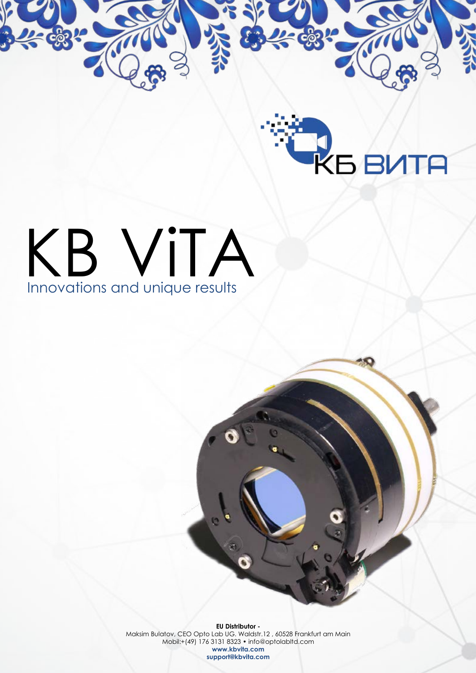

## KB VITA

**EU Distributor -**  Maksim Bulatov, CEO Opto Lab UG. Waldstr.12 , 60528 Frankfurt am Main Mobil:+(49) 176 3131 8323 • info@optolabltd.com **www.kbvita.com support@kbvita.com**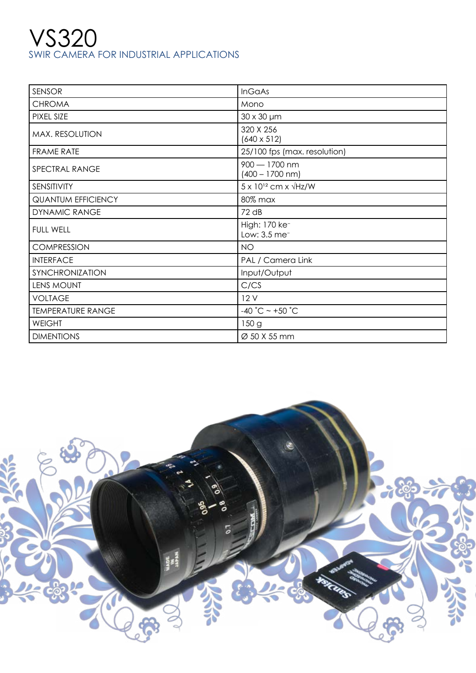## VS320 SWIR CAMERA FOR INDUSTRIAL APPLICATIONS

| <b>SENSOR</b>             | <b>InGaAs</b>                                         |
|---------------------------|-------------------------------------------------------|
| <b>CHROMA</b>             | Mono                                                  |
| PIXEL SIZE                | $30 \times 30 \mu m$                                  |
| MAX. RESOLUTION           | 320 X 256<br>$(640 \times 512)$                       |
| <b>FRAME RATE</b>         | 25/100 fps (max. resolution)                          |
| SPECTRAL RANGE            | $900 - 1700$ nm<br>$(400 - 1700$ nm)                  |
| SENSITIVITY               | $5 \times 10^{12}$ cm x $\sqrt{Hz/W}$                 |
| <b>QUANTUM EFFICIENCY</b> | 80% max                                               |
| <b>DYNAMIC RANGE</b>      | 72 dB                                                 |
| <b>FULL WELL</b>          | High: 170 ke <sup>-</sup><br>Low: 3.5 me <sup>-</sup> |
| <b>COMPRESSION</b>        | <b>NO</b>                                             |
| <b>INTERFACE</b>          | PAL / Camera Link                                     |
| SYNCHRONIZATION           | Input/Output                                          |
| <b>LENS MOUNT</b>         | C/CS                                                  |
| <b>VOLTAGE</b>            | 12V                                                   |
| <b>TEMPERATURE RANGE</b>  | -40 °C ~ +50 °C                                       |
| <b>WEIGHT</b>             | 150g                                                  |
| <b>DIMENTIONS</b>         | Ø 50 X 55 mm                                          |

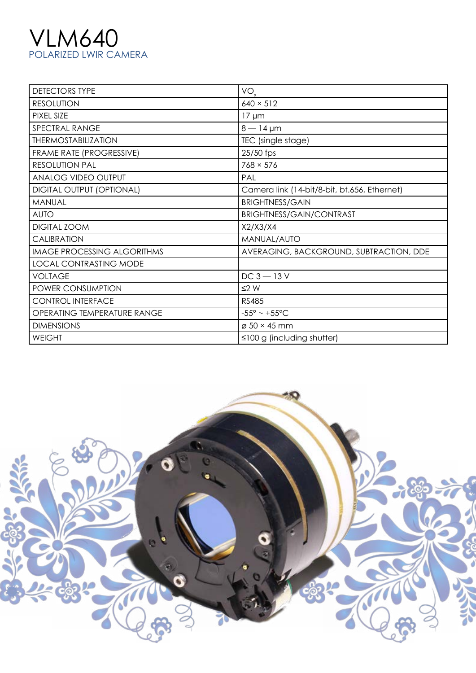## VLM640 POLARIZED LWIR CAMERA

| <b>DETECTORS TYPE</b>              | $VO_{.}$                                     |
|------------------------------------|----------------------------------------------|
| <b>RESOLUTION</b>                  | $640 \times 512$                             |
| PIXEL SIZE                         | $17 \mu m$                                   |
| SPECTRAL RANGE                     | $8 - 14 \,\mu m$                             |
| <b>THERMOSTABILIZATION</b>         | TEC (single stage)                           |
| FRAME RATE (PROGRESSIVE)           | 25/50 fps                                    |
| <b>RESOLUTION PAL</b>              | $768 \times 576$                             |
| ANALOG VIDEO OUTPUT                | PAL                                          |
| <b>DIGITAL OUTPUT (OPTIONAL)</b>   | Camera link (14-bit/8-bit, bt.656, Ethernet) |
| MANUAL                             | <b>BRIGHTNESS/GAIN</b>                       |
| <b>AUTO</b>                        | BRIGHTNESS/GAIN/CONTRAST                     |
| DIGITAL ZOOM                       | X2/X3/X4                                     |
| <b>CALIBRATION</b>                 | MANUAL/AUTO                                  |
| <b>IMAGE PROCESSING ALGORITHMS</b> | AVERAGING, BACKGROUND, SUBTRACTION, DDE      |
| <b>LOCAL CONTRASTING MODE</b>      |                                              |
| <b>VOLTAGE</b>                     | $DC 3 - 13V$                                 |
| POWER CONSUMPTION                  | $\leq$ W                                     |
| <b>CONTROL INTERFACE</b>           | <b>RS485</b>                                 |
| OPERATING TEMPERATURE RANGE        | $-55^{\circ}$ ~ +55°C                        |
| <b>DIMENSIONS</b>                  | $\varnothing$ 50 × 45 mm                     |
| <b>WEIGHT</b>                      | $\leq 100$ g (including shutter)             |